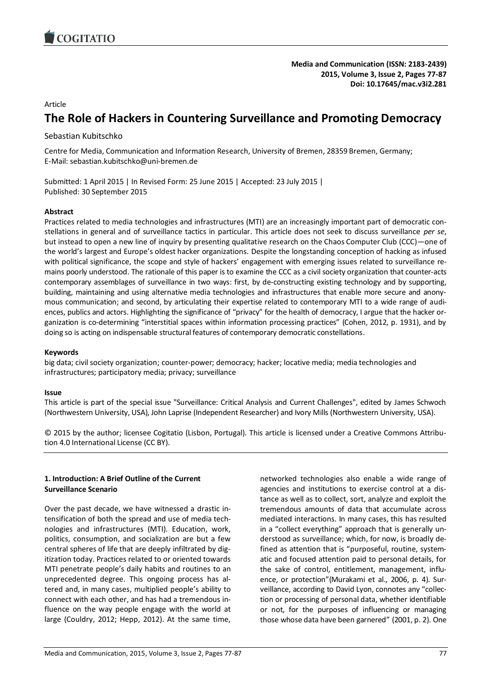

**Media and Communication (ISSN: 2183-2439) 2015, Volume 3, Issue 2, Pages 77-87 Doi: 10.17645/mac.v3i2.281**

### Article

# **The Role of Hackers in Countering Surveillance and Promoting Democracy**

# Sebastian Kubitschko

Centre for Media, Communication and Information Research, University of Bremen, 28359 Bremen, Germany; E-Mail: sebastian.kubitschko@uni-bremen.de

Submitted: 1 April 2015 | In Revised Form: 25 June 2015 | Accepted: 23 July 2015 | Published: 30 September 2015

# **Abstract**

Practices related to media technologies and infrastructures (MTI) are an increasingly important part of democratic constellations in general and of surveillance tactics in particular. This article does not seek to discuss surveillance *per se*, but instead to open a new line of inquiry by presenting qualitative research on the Chaos Computer Club (CCC)—one of the world's largest and Europe's oldest hacker organizations. Despite the longstanding conception of hacking as infused with political significance, the scope and style of hackers' engagement with emerging issues related to surveillance remains poorly understood. The rationale of this paper is to examine the CCC as a civil society organization that counter-acts contemporary assemblages of surveillance in two ways: first, by de-constructing existing technology and by supporting, building, maintaining and using alternative media technologies and infrastructures that enable more secure and anonymous communication; and second, by articulating their expertise related to contemporary MTI to a wide range of audiences, publics and actors. Highlighting the significance of "privacy" for the health of democracy, I argue that the hacker organization is co-determining "interstitial spaces within information processing practices" (Cohen, 2012, p. 1931), and by doing so is acting on indispensable structural features of contemporary democratic constellations.

#### **Keywords**

big data; civil society organization; counter-power; democracy; hacker; locative media; media technologies and infrastructures; participatory media; privacy; surveillance

#### **Issue**

This article is part of the special issue "Surveillance: Critical Analysis and Current Challenges", edited by James Schwoch (Northwestern University, USA), John Laprise (Independent Researcher) and Ivory Mills (Northwestern University, USA).

© 2015 by the author; licensee Cogitatio (Lisbon, Portugal). This article is licensed under a Creative Commons Attribution 4.0 International License (CC BY).

# **1. Introduction: A Brief Outline of the Current Surveillance Scenario**

Over the past decade, we have witnessed a drastic intensification of both the spread and use of media technologies and infrastructures (MTI). Education, work, politics, consumption, and socialization are but a few central spheres of life that are deeply infiltrated by digitization today. Practices related to or oriented towards MTI penetrate people's daily habits and routines to an unprecedented degree. This ongoing process has altered and, in many cases, multiplied people's ability to connect with each other, and has had a tremendous influence on the way people engage with the world at large (Couldry, 2012; Hepp, 2012). At the same time,

networked technologies also enable a wide range of agencies and institutions to exercise control at a distance as well as to collect, sort, analyze and exploit the tremendous amounts of data that accumulate across mediated interactions. In many cases, this has resulted in a "collect everything" approach that is generally understood as surveillance; which, for now, is broadly defined as attention that is "purposeful, routine, systematic and focused attention paid to personal details, for the sake of control, entitlement, management, influence, or protection"(Murakami et al., 2006, p. 4). Surveillance, according to David Lyon, connotes any "collection or processing of personal data, whether identifiable or not, for the purposes of influencing or managing those whose data have been garnered" (2001, p. 2). One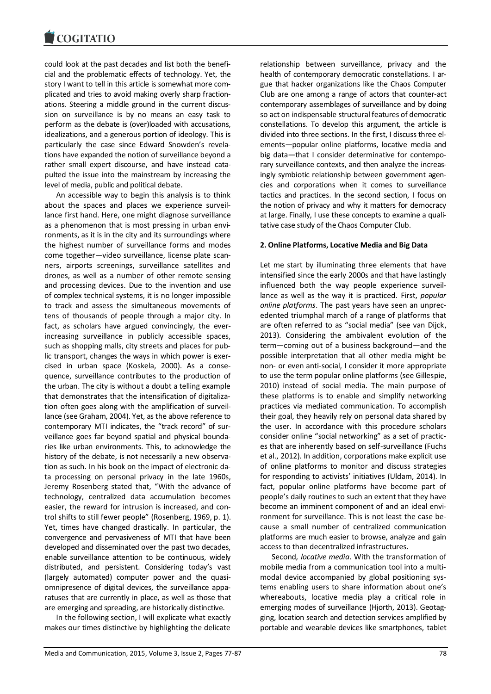could look at the past decades and list both the beneficial and the problematic effects of technology. Yet, the story I want to tell in this article is somewhat more complicated and tries to avoid making overly sharp fractionations. Steering a middle ground in the current discussion on surveillance is by no means an easy task to perform as the debate is (over)loaded with accusations, idealizations, and a generous portion of ideology. This is particularly the case since Edward Snowden's revelations have expanded the notion of surveillance beyond a rather small expert discourse, and have instead catapulted the issue into the mainstream by increasing the level of media, public and political debate.

An accessible way to begin this analysis is to think about the spaces and places we experience surveillance first hand. Here, one might diagnose surveillance as a phenomenon that is most pressing in urban environments, as it is in the city and its surroundings where the highest number of surveillance forms and modes come together—video surveillance, license plate scanners, airports screenings, surveillance satellites and drones, as well as a number of other remote sensing and processing devices. Due to the invention and use of complex technical systems, it is no longer impossible to track and assess the simultaneous movements of tens of thousands of people through a major city. In fact, as scholars have argued convincingly, the everincreasing surveillance in publicly accessible spaces, such as shopping malls, city streets and places for public transport, changes the ways in which power is exercised in urban space (Koskela, 2000). As a consequence, surveillance contributes to the production of the urban. The city is without a doubt a telling example that demonstrates that the intensification of digitalization often goes along with the amplification of surveillance (see Graham, 2004). Yet, as the above reference to contemporary MTI indicates, the "track record" of surveillance goes far beyond spatial and physical boundaries like urban environments. This, to acknowledge the history of the debate, is not necessarily a new observation as such. In his book on the impact of electronic data processing on personal privacy in the late 1960s, Jeremy Rosenberg stated that, "With the advance of technology, centralized data accumulation becomes easier, the reward for intrusion is increased, and control shifts to still fewer people" (Rosenberg, 1969, p. 1). Yet, times have changed drastically. In particular, the convergence and pervasiveness of MTI that have been developed and disseminated over the past two decades, enable surveillance attention to be continuous, widely distributed, and persistent. Considering today's vast (largely automated) computer power and the quasiomnipresence of digital devices, the surveillance apparatuses that are currently in place, as well as those that are emerging and spreading, are historically distinctive.

In the following section, I will explicate what exactly makes our times distinctive by highlighting the delicate

relationship between surveillance, privacy and the health of contemporary democratic constellations. I argue that hacker organizations like the Chaos Computer Club are one among a range of actors that counter-act contemporary assemblages of surveillance and by doing so act on indispensable structural features of democratic constellations. To develop this argument, the article is divided into three sections. In the first, I discuss three elements—popular online platforms, locative media and big data—that I consider determinative for contemporary surveillance contexts, and then analyze the increasingly symbiotic relationship between government agencies and corporations when it comes to surveillance tactics and practices. In the second section, I focus on the notion of privacy and why it matters for democracy at large. Finally, I use these concepts to examine a qualitative case study of the Chaos Computer Club.

# **2. Online Platforms, Locative Media and Big Data**

Let me start by illuminating three elements that have intensified since the early 2000s and that have lastingly influenced both the way people experience surveillance as well as the way it is practiced. First, *popular online platforms*. The past years have seen an unprecedented triumphal march of a range of platforms that are often referred to as "social media" (see van Dijck, 2013). Considering the ambivalent evolution of the term—coming out of a business background—and the possible interpretation that all other media might be non- or even anti-social, I consider it more appropriate to use the term popular online platforms (see Gillespie, 2010) instead of social media. The main purpose of these platforms is to enable and simplify networking practices via mediated communication. To accomplish their goal, they heavily rely on personal data shared by the user. In accordance with this procedure scholars consider online "social networking" as a set of practices that are inherently based on self-surveillance (Fuchs et al., 2012). In addition, corporations make explicit use of online platforms to monitor and discuss strategies for responding to activists' initiatives (Uldam, 2014). In fact, popular online platforms have become part of people's daily routines to such an extent that they have become an imminent component of and an ideal environment for surveillance. This is not least the case because a small number of centralized communication platforms are much easier to browse, analyze and gain access to than decentralized infrastructures.

Second*, locative media*. With the transformation of mobile media from a communication tool into a multimodal device accompanied by global positioning systems enabling users to share information about one's whereabouts, locative media play a critical role in emerging modes of surveillance (Hjorth, 2013). Geotagging, location search and detection services amplified by portable and wearable devices like smartphones, tablet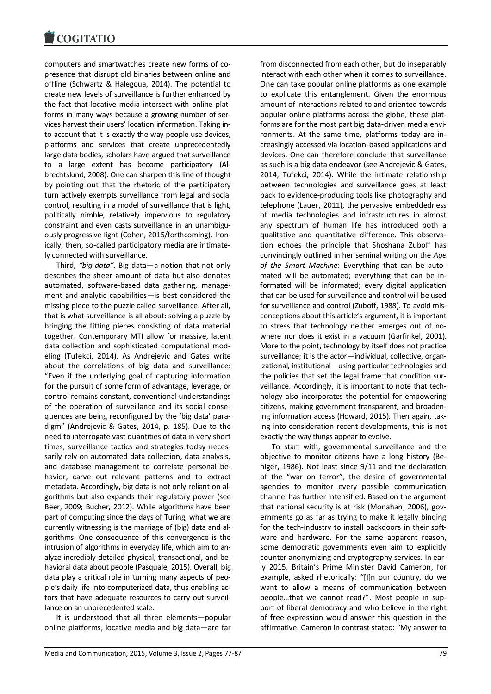computers and smartwatches create new forms of copresence that disrupt old binaries between online and offline (Schwartz & Halegoua, 2014). The potential to create new levels of surveillance is further enhanced by the fact that locative media intersect with online platforms in many ways because a growing number of services harvest their users' location information. Taking into account that it is exactly the way people use devices, platforms and services that create unprecedentedly large data bodies, scholars have argued that surveillance to a large extent has become participatory (Albrechtslund, 2008). One can sharpen this line of thought by pointing out that the rhetoric of the participatory turn actively exempts surveillance from legal and social control, resulting in a model of surveillance that is light, politically nimble, relatively impervious to regulatory constraint and even casts surveillance in an unambiguously progressive light (Cohen, 2015/forthcoming). Ironically, then, so-called participatory media are intimately connected with surveillance.

Third*, "big data"*. Big data—a notion that not only describes the sheer amount of data but also denotes automated, software-based data gathering, management and analytic capabilities—is best considered the missing piece to the puzzle called surveillance. After all, that is what surveillance is all about: solving a puzzle by bringing the fitting pieces consisting of data material together. Contemporary MTI allow for massive, latent data collection and sophisticated computational modeling (Tufekci, 2014). As Andrejevic and Gates write about the correlations of big data and surveillance: "Even if the underlying goal of capturing information for the pursuit of some form of advantage, leverage, or control remains constant, conventional understandings of the operation of surveillance and its social consequences are being reconfigured by the 'big data' paradigm" (Andrejevic & Gates, 2014, p. 185). Due to the need to interrogate vast quantities of data in very short times, surveillance tactics and strategies today necessarily rely on automated data collection, data analysis, and database management to correlate personal behavior, carve out relevant patterns and to extract metadata. Accordingly, big data is not only reliant on algorithms but also expands their regulatory power (see Beer, 2009; Bucher, 2012). While algorithms have been part of computing since the days of Turing, what we are currently witnessing is the marriage of (big) data and algorithms. One consequence of this convergence is the intrusion of algorithms in everyday life, which aim to analyze incredibly detailed physical, transactional, and behavioral data about people (Pasquale, 2015). Overall, big data play a critical role in turning many aspects of people's daily life into computerized data, thus enabling actors that have adequate resources to carry out surveillance on an unprecedented scale.

It is understood that all three elements—popular online platforms, locative media and big data—are far from disconnected from each other, but do inseparably interact with each other when it comes to surveillance. One can take popular online platforms as one example to explicate this entanglement. Given the enormous amount of interactions related to and oriented towards popular online platforms across the globe, these platforms are for the most part big data-driven media environments. At the same time, platforms today are increasingly accessed via location-based applications and devices. One can therefore conclude that surveillance as such is a big data endeavor (see Andrejevic & Gates, 2014; Tufekci, 2014). While the intimate relationship between technologies and surveillance goes at least back to evidence-producing tools like photography and telephone (Lauer, 2011), the pervasive embeddedness of media technologies and infrastructures in almost any spectrum of human life has introduced both a qualitative and quantitative difference. This observation echoes the principle that Shoshana Zuboff has convincingly outlined in her seminal writing on the *Age of the Smart Machine*: Everything that can be automated will be automated; everything that can be informated will be informated; every digital application that can be used for surveillance and control will be used for surveillance and control (Zuboff, 1988). To avoid misconceptions about this article's argument, it is important to stress that technology neither emerges out of nowhere nor does it exist in a vacuum (Garfinkel, 2001). More to the point, technology by itself does not practice surveillance; it is the actor—individual, collective, organizational, institutional—using particular technologies and the policies that set the legal frame that condition surveillance. Accordingly, it is important to note that technology also incorporates the potential for empowering citizens, making government transparent, and broadening information access (Howard, 2015). Then again, taking into consideration recent developments, this is not exactly the way things appear to evolve.

To start with, governmental surveillance and the objective to monitor citizens have a long history (Beniger, 1986). Not least since 9/11 and the declaration of the "war on terror", the desire of governmental agencies to monitor every possible communication channel has further intensified. Based on the argument that national security is at risk (Monahan, 2006), governments go as far as trying to make it legally binding for the tech-industry to install backdoors in their software and hardware. For the same apparent reason, some democratic governments even aim to explicitly counter anonymizing and cryptography services. In early 2015, Britain's Prime Minister David Cameron, for example, asked rhetorically: "[I]n our country, do we want to allow a means of communication between people…that we cannot read?". Most people in support of liberal democracy and who believe in the right of free expression would answer this question in the affirmative. Cameron in contrast stated: "My answer to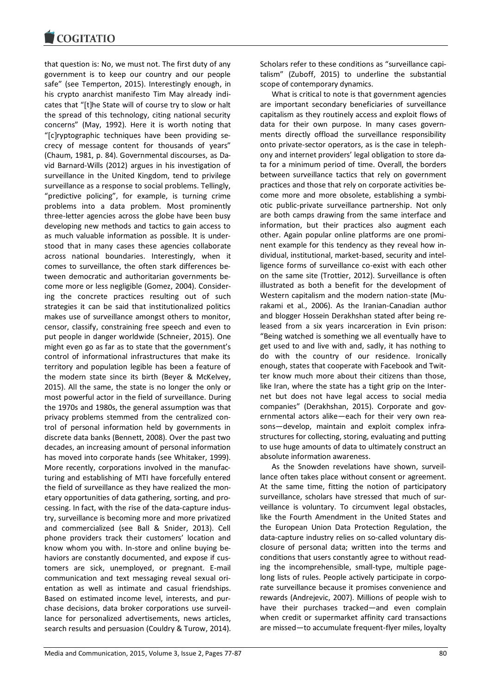

that question is: No, we must not. The first duty of any government is to keep our country and our people safe" (see Temperton, 2015). Interestingly enough, in his crypto anarchist manifesto Tim May already indicates that "[t]he State will of course try to slow or halt the spread of this technology, citing national security concerns" (May, 1992). Here it is worth noting that "[c]ryptographic techniques have been providing secrecy of message content for thousands of years" (Chaum, 1981, p. 84). Governmental discourses, as David Barnard-Wills (2012) argues in his investigation of surveillance in the United Kingdom, tend to privilege surveillance as a response to social problems. Tellingly, "predictive policing", for example, is turning crime problems into a data problem. Most prominently three-letter agencies across the globe have been busy developing new methods and tactics to gain access to as much valuable information as possible. It is understood that in many cases these agencies collaborate across national boundaries. Interestingly, when it comes to surveillance, the often stark differences between democratic and authoritarian governments become more or less negligible (Gomez, 2004). Considering the concrete practices resulting out of such strategies it can be said that institutionalized politics makes use of surveillance amongst others to monitor, censor, classify, constraining free speech and even to put people in danger worldwide (Schneier, 2015). One might even go as far as to state that the government's control of informational infrastructures that make its territory and population legible has been a feature of the modern state since its birth (Beyer & McKelvey, 2015). All the same, the state is no longer the only or most powerful actor in the field of surveillance. During the 1970s and 1980s, the general assumption was that privacy problems stemmed from the centralized control of personal information held by governments in discrete data banks (Bennett, 2008). Over the past two decades, an increasing amount of personal information has moved into corporate hands (see Whitaker, 1999). More recently, corporations involved in the manufacturing and establishing of MTI have forcefully entered the field of surveillance as they have realized the monetary opportunities of data gathering, sorting, and processing. In fact, with the rise of the data-capture industry, surveillance is becoming more and more privatized and commercialized (see Ball & Snider, 2013). Cell phone providers track their customers' location and know whom you with. In-store and online buying behaviors are constantly documented, and expose if customers are sick, unemployed, or pregnant. E-mail communication and text messaging reveal sexual orientation as well as intimate and casual friendships. Based on estimated income level, interests, and purchase decisions, data broker corporations use surveillance for personalized advertisements, news articles, search results and persuasion (Couldry & Turow, 2014). Scholars refer to these conditions as "surveillance capitalism" (Zuboff, 2015) to underline the substantial scope of contemporary dynamics.

What is critical to note is that government agencies are important secondary beneficiaries of surveillance capitalism as they routinely access and exploit flows of data for their own purpose. In many cases governments directly offload the surveillance responsibility onto private-sector operators, as is the case in telephony and internet providers' legal obligation to store data for a minimum period of time. Overall, the borders between surveillance tactics that rely on government practices and those that rely on corporate activities become more and more obsolete, establishing a symbiotic public-private surveillance partnership. Not only are both camps drawing from the same interface and information, but their practices also augment each other. Again popular online platforms are one prominent example for this tendency as they reveal how individual, institutional, market-based, security and intelligence forms of surveillance co-exist with each other on the same site (Trottier, 2012). Surveillance is often illustrated as both a benefit for the development of Western capitalism and the modern nation-state (Murakami et al., 2006). As the Iranian-Canadian author and blogger Hossein Derakhshan stated after being released from a six years incarceration in Evin prison: "Being watched is something we all eventually have to get used to and live with and, sadly, it has nothing to do with the country of our residence. Ironically enough, states that cooperate with Facebook and Twitter know much more about their citizens than those, like Iran, where the state has a tight grip on the Internet but does not have legal access to social media companies" (Derakhshan, 2015). Corporate and governmental actors alike—each for their very own reasons—develop, maintain and exploit complex infrastructures for collecting, storing, evaluating and putting to use huge amounts of data to ultimately construct an absolute information awareness.

As the Snowden revelations have shown, surveillance often takes place without consent or agreement. At the same time, fitting the notion of participatory surveillance, scholars have stressed that much of surveillance is voluntary. To circumvent legal obstacles, like the Fourth Amendment in the United States and the European Union Data Protection Regulation, the data-capture industry relies on so-called voluntary disclosure of personal data; written into the terms and conditions that users constantly agree to without reading the incomprehensible, small-type, multiple pagelong lists of rules. People actively participate in corporate surveillance because it promises convenience and rewards (Andrejevic, 2007). Millions of people wish to have their purchases tracked—and even complain when credit or supermarket affinity card transactions are missed—to accumulate frequent-flyer miles, loyalty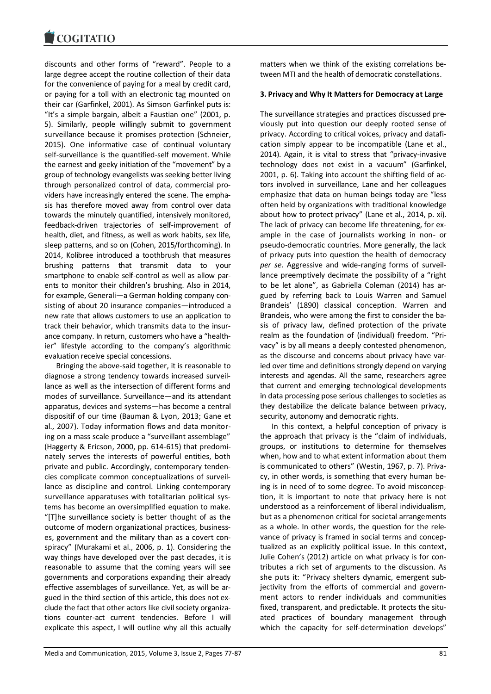

discounts and other forms of "reward". People to a large degree accept the routine collection of their data for the convenience of paying for a meal by credit card, or paying for a toll with an electronic tag mounted on their car (Garfinkel, 2001). As Simson Garfinkel puts is: "It's a simple bargain, albeit a Faustian one" (2001, p. 5). Similarly, people willingly submit to government surveillance because it promises protection (Schneier, 2015). One informative case of continual voluntary self-surveillance is the quantified-self movement. While the earnest and geeky initiation of the "movement" by a group of technology evangelists was seeking better living through personalized control of data, commercial providers have increasingly entered the scene. The emphasis has therefore moved away from control over data towards the minutely quantified, intensively monitored, feedback-driven trajectories of self-improvement of health, diet, and fitness, as well as work habits, sex life, sleep patterns, and so on (Cohen, 2015/forthcoming). In 2014, Kolibree introduced a toothbrush that measures brushing patterns that transmit data to your smartphone to enable self-control as well as allow parents to monitor their children's brushing. Also in 2014, for example, Generali—a German holding company consisting of about 20 insurance companies—introduced a new rate that allows customers to use an application to track their behavior, which transmits data to the insurance company. In return, customers who have a "healthier" lifestyle according to the company's algorithmic evaluation receive special concessions.

Bringing the above-said together, it is reasonable to diagnose a strong tendency towards increased surveillance as well as the intersection of different forms and modes of surveillance. Surveillance—and its attendant apparatus, devices and systems—has become a central dispositif of our time (Bauman & Lyon, 2013; Gane et al., 2007). Today information flows and data monitoring on a mass scale produce a "surveillant assemblage" (Haggerty & Ericson, 2000, pp. 614-615) that predominately serves the interests of powerful entities, both private and public. Accordingly, contemporary tendencies complicate common conceptualizations of surveillance as discipline and control. Linking contemporary surveillance apparatuses with totalitarian political systems has become an oversimplified equation to make. "[T]he surveillance society is better thought of as the outcome of modern organizational practices, businesses, government and the military than as a covert conspiracy" (Murakami et al., 2006, p. 1). Considering the way things have developed over the past decades, it is reasonable to assume that the coming years will see governments and corporations expanding their already effective assemblages of surveillance. Yet, as will be argued in the third section of this article, this does not exclude the fact that other actors like civil society organizations counter-act current tendencies. Before I will explicate this aspect, I will outline why all this actually

matters when we think of the existing correlations between MTI and the health of democratic constellations.

#### **3. Privacy and Why It Matters for Democracy at Large**

The surveillance strategies and practices discussed previously put into question our deeply rooted sense of privacy. According to critical voices, privacy and datafication simply appear to be incompatible (Lane et al., 2014). Again, it is vital to stress that "privacy-invasive technology does not exist in a vacuum" (Garfinkel, 2001, p. 6). Taking into account the shifting field of actors involved in surveillance, Lane and her colleagues emphasize that data on human beings today are "less often held by organizations with traditional knowledge about how to protect privacy" (Lane et al., 2014, p. xi). The lack of privacy can become life threatening, for example in the case of journalists working in non- or pseudo-democratic countries. More generally, the lack of privacy puts into question the health of democracy *per se*. Aggressive and wide-ranging forms of surveillance preemptively decimate the possibility of a "right to be let alone", as Gabriella Coleman (2014) has argued by referring back to Louis Warren and Samuel Brandeis' (1890) classical conception. Warren and Brandeis, who were among the first to consider the basis of privacy law, defined protection of the private realm as the foundation of (individual) freedom. "Privacy" is by all means a deeply contested phenomenon, as the discourse and concerns about privacy have varied over time and definitions strongly depend on varying interests and agendas. All the same, researchers agree that current and emerging technological developments in data processing pose serious challenges to societies as they destabilize the delicate balance between privacy, security, autonomy and democratic rights.

In this context, a helpful conception of privacy is the approach that privacy is the "claim of individuals, groups, or institutions to determine for themselves when, how and to what extent information about them is communicated to others" (Westin, 1967, p. 7). Privacy, in other words, is something that every human being is in need of to some degree. To avoid misconception, it is important to note that privacy here is not understood as a reinforcement of liberal individualism, but as a phenomenon critical for societal arrangements as a whole. In other words, the question for the relevance of privacy is framed in social terms and conceptualized as an explicitly political issue. In this context, Julie Cohen's (2012) article on what privacy is for contributes a rich set of arguments to the discussion. As she puts it: "Privacy shelters dynamic, emergent subjectivity from the efforts of commercial and government actors to render individuals and communities fixed, transparent, and predictable. It protects the situated practices of boundary management through which the capacity for self-determination develops"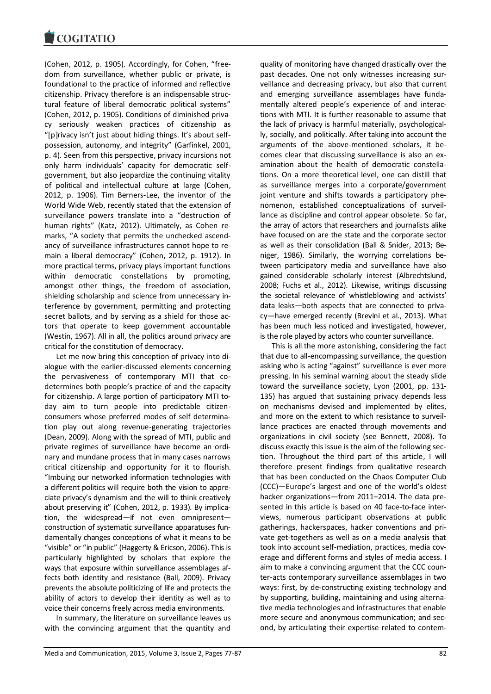

(Cohen, 2012, p. 1905). Accordingly, for Cohen, "freedom from surveillance, whether public or private, is foundational to the practice of informed and reflective citizenship. Privacy therefore is an indispensable structural feature of liberal democratic political systems" (Cohen, 2012, p. 1905). Conditions of diminished privacy seriously weaken practices of citizenship as "[p]rivacy isn't just about hiding things. It's about selfpossession, autonomy, and integrity" (Garfinkel, 2001, p. 4). Seen from this perspective, privacy incursions not only harm individuals' capacity for democratic selfgovernment, but also jeopardize the continuing vitality of political and intellectual culture at large (Cohen, 2012, p. 1906). Tim Berners-Lee, the inventor of the World Wide Web, recently stated that the extension of surveillance powers translate into a "destruction of human rights" (Katz, 2012). Ultimately, as Cohen remarks, "A society that permits the unchecked ascendancy of surveillance infrastructures cannot hope to remain a liberal democracy" (Cohen, 2012, p. 1912). In more practical terms, privacy plays important functions within democratic constellations by promoting, amongst other things, the freedom of association, shielding scholarship and science from unnecessary interference by government, permitting and protecting secret ballots, and by serving as a shield for those actors that operate to keep government accountable (Westin, 1967). All in all, the politics around privacy are critical for the constitution of democracy.

Let me now bring this conception of privacy into dialogue with the earlier-discussed elements concerning the pervasiveness of contemporary MTI that codetermines both people's practice of and the capacity for citizenship. A large portion of participatory MTI today aim to turn people into predictable citizenconsumers whose preferred modes of self determination play out along revenue-generating trajectories (Dean, 2009). Along with the spread of MTI, public and private regimes of surveillance have become an ordinary and mundane process that in many cases narrows critical citizenship and opportunity for it to flourish. "Imbuing our networked information technologies with a different politics will require both the vision to appreciate privacy's dynamism and the will to think creatively about preserving it" (Cohen, 2012, p. 1933). By implication, the widespread—if not even omnipresent construction of systematic surveillance apparatuses fundamentally changes conceptions of what it means to be "visible" or "in public" (Haggerty & Ericson, 2006). This is particularly highlighted by scholars that explore the ways that exposure within surveillance assemblages affects both identity and resistance (Ball, 2009). Privacy prevents the absolute politicizing of life and protects the ability of actors to develop their identity as well as to voice their concerns freely across media environments.

In summary, the literature on surveillance leaves us with the convincing argument that the quantity and

quality of monitoring have changed drastically over the past decades. One not only witnesses increasing surveillance and decreasing privacy, but also that current and emerging surveillance assemblages have fundamentally altered people's experience of and interactions with MTI. It is further reasonable to assume that the lack of privacy is harmful materially, psychologically, socially, and politically. After taking into account the arguments of the above-mentioned scholars, it becomes clear that discussing surveillance is also an examination about the health of democratic constellations. On a more theoretical level, one can distill that as surveillance merges into a corporate/government joint venture and shifts towards a participatory phenomenon, established conceptualizations of surveillance as discipline and control appear obsolete. So far, the array of actors that researchers and journalists alike have focused on are the state and the corporate sector as well as their consolidation (Ball & Snider, 2013; Beniger, 1986). Similarly, the worrying correlations between participatory media and surveillance have also gained considerable scholarly interest (Albrechtslund, 2008; Fuchs et al., 2012). Likewise, writings discussing the societal relevance of whistleblowing and activists' data leaks—both aspects that are connected to privacy—have emerged recently (Brevini et al., 2013). What has been much less noticed and investigated, however, is the role played by actors who counter surveillance.

This is all the more astonishing, considering the fact that due to all-encompassing surveillance, the question asking who is acting "against" surveillance is ever more pressing. In his seminal warning about the steady slide toward the surveillance society, Lyon (2001, pp. 131- 135) has argued that sustaining privacy depends less on mechanisms devised and implemented by elites, and more on the extent to which resistance to surveillance practices are enacted through movements and organizations in civil society (see Bennett, 2008). To discuss exactly this issue is the aim of the following section. Throughout the third part of this article, I will therefore present findings from qualitative research that has been conducted on the Chaos Computer Club (CCC)—Europe's largest and one of the world's oldest hacker organizations—from 2011–2014. The data presented in this article is based on 40 face-to-face interviews, numerous participant observations at public gatherings, hackerspaces, hacker conventions and private get-togethers as well as on a media analysis that took into account self-mediation, practices, media coverage and different forms and styles of media access. I aim to make a convincing argument that the CCC counter-acts contemporary surveillance assemblages in two ways: first, by de-constructing existing technology and by supporting, building, maintaining and using alternative media technologies and infrastructures that enable more secure and anonymous communication; and second, by articulating their expertise related to contem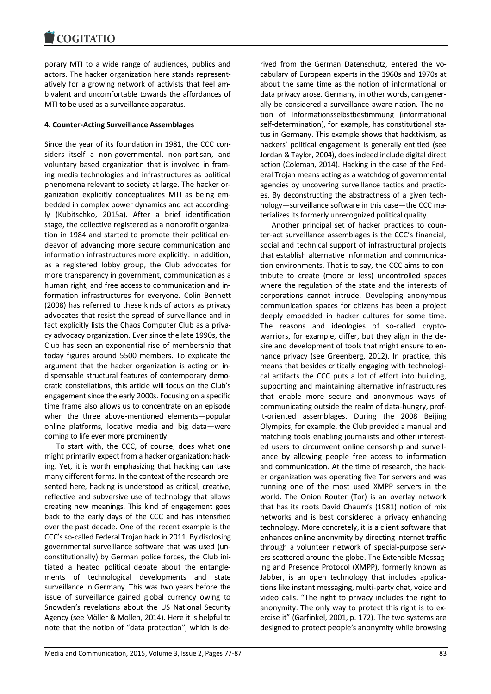porary MTI to a wide range of audiences, publics and actors. The hacker organization here stands representatively for a growing network of activists that feel ambivalent and uncomfortable towards the affordances of MTI to be used as a surveillance apparatus.

# **4. Counter-Acting Surveillance Assemblages**

Since the year of its foundation in 1981, the CCC considers itself a non-governmental, non-partisan, and voluntary based organization that is involved in framing media technologies and infrastructures as political phenomena relevant to society at large. The hacker organization explicitly conceptualizes MTI as being embedded in complex power dynamics and act accordingly (Kubitschko, 2015a). After a brief identification stage, the collective registered as a nonprofit organization in 1984 and started to promote their political endeavor of advancing more secure communication and information infrastructures more explicitly. In addition, as a registered lobby group, the Club advocates for more transparency in government, communication as a human right, and free access to communication and information infrastructures for everyone. Colin Bennett (2008) has referred to these kinds of actors as privacy advocates that resist the spread of surveillance and in fact explicitly lists the Chaos Computer Club as a privacy advocacy organization. Ever since the late 1990s, the Club has seen an exponential rise of membership that today figures around 5500 members. To explicate the argument that the hacker organization is acting on indispensable structural features of contemporary democratic constellations, this article will focus on the Club's engagement since the early 2000s. Focusing on a specific time frame also allows us to concentrate on an episode when the three above-mentioned elements—popular online platforms, locative media and big data—were coming to life ever more prominently.

To start with, the CCC, of course, does what one might primarily expect from a hacker organization: hacking. Yet, it is worth emphasizing that hacking can take many different forms. In the context of the research presented here, hacking is understood as critical, creative, reflective and subversive use of technology that allows creating new meanings. This kind of engagement goes back to the early days of the CCC and has intensified over the past decade. One of the recent example is the CCC's so-called Federal Trojan hack in 2011. By disclosing governmental surveillance software that was used (unconstitutionally) by German police forces, the Club initiated a heated political debate about the entanglements of technological developments and state surveillance in Germany. This was two years before the issue of surveillance gained global currency owing to Snowden's revelations about the US National Security Agency (see Möller & Mollen, 2014). Here it is helpful to note that the notion of "data protection", which is derived from the German Datenschutz, entered the vocabulary of European experts in the 1960s and 1970s at about the same time as the notion of informational or data privacy arose. Germany, in other words, can generally be considered a surveillance aware nation. The notion of Informationsselbstbestimmung (informational self-determination), for example, has constitutional status in Germany. This example shows that hacktivism, as hackers' political engagement is generally entitled (see Jordan & Taylor, 2004), does indeed include digital direct action (Coleman, 2014). Hacking in the case of the Federal Trojan means acting as a watchdog of governmental agencies by uncovering surveillance tactics and practices. By deconstructing the abstractness of a given technology—surveillance software in this case—the CCC materializes its formerly unrecognized political quality.

Another principal set of hacker practices to counter-act surveillance assemblages is the CCC's financial, social and technical support of infrastructural projects that establish alternative information and communication environments. That is to say, the CCC aims to contribute to create (more or less) uncontrolled spaces where the regulation of the state and the interests of corporations cannot intrude. Developing anonymous communication spaces for citizens has been a project deeply embedded in hacker cultures for some time. The reasons and ideologies of so-called cryptowarriors, for example, differ, but they align in the desire and development of tools that might ensure to enhance privacy (see Greenberg, 2012). In practice, this means that besides critically engaging with technological artifacts the CCC puts a lot of effort into building, supporting and maintaining alternative infrastructures that enable more secure and anonymous ways of communicating outside the realm of data-hungry, profit-oriented assemblages. During the 2008 Beijing Olympics, for example, the Club provided a manual and matching tools enabling journalists and other interested users to circumvent online censorship and surveillance by allowing people free access to information and communication. At the time of research, the hacker organization was operating five Tor servers and was running one of the most used XMPP servers in the world. The Onion Router (Tor) is an overlay network that has its roots David Chaum's (1981) notion of mix networks and is best considered a privacy enhancing technology. More concretely, it is a client software that enhances online anonymity by directing internet traffic through a volunteer network of special-purpose servers scattered around the globe. The Extensible Messaging and Presence Protocol (XMPP), formerly known as Jabber, is an open technology that includes applications like instant messaging, multi-party chat, voice and video calls. "The right to privacy includes the right to anonymity. The only way to protect this right is to exercise it" (Garfinkel, 2001, p. 172). The two systems are designed to protect people's anonymity while browsing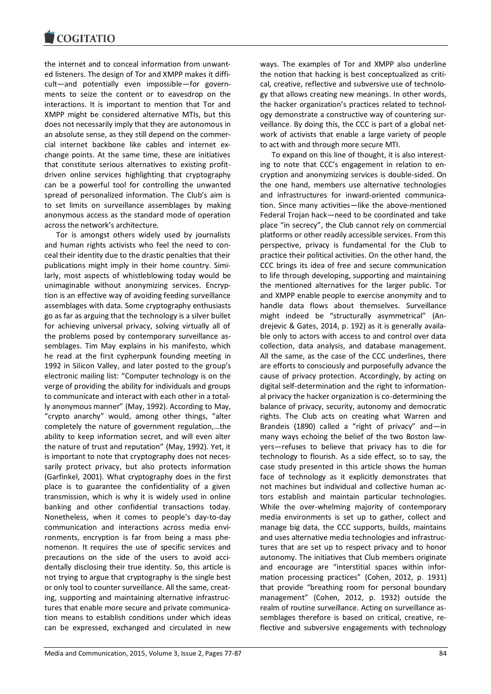the internet and to conceal information from unwanted listeners. The design of Tor and XMPP makes it difficult—and potentially even impossible—for governments to seize the content or to eavesdrop on the interactions. It is important to mention that Tor and XMPP might be considered alternative MTIs, but this does not necessarily imply that they are autonomous in an absolute sense, as they still depend on the commercial internet backbone like cables and internet exchange points. At the same time, these are initiatives that constitute serious alternatives to existing profitdriven online services highlighting that cryptography can be a powerful tool for controlling the unwanted spread of personalized information. The Club's aim is to set limits on surveillance assemblages by making anonymous access as the standard mode of operation across the network's architecture.

Tor is amongst others widely used by journalists and human rights activists who feel the need to conceal their identity due to the drastic penalties that their publications might imply in their home country. Similarly, most aspects of whistleblowing today would be unimaginable without anonymizing services. Encryption is an effective way of avoiding feeding surveillance assemblages with data. Some cryptography enthusiasts go as far as arguing that the technology is a silver bullet for achieving universal privacy, solving virtually all of the problems posed by contemporary surveillance assemblages. Tim May explains in his manifesto, which he read at the first cypherpunk founding meeting in 1992 in Silicon Valley, and later posted to the group's electronic mailing list: "Computer technology is on the verge of providing the ability for individuals and groups to communicate and interact with each other in a totally anonymous manner" (May, 1992). According to May, "crypto anarchy" would, among other things, "alter completely the nature of government regulation,…the ability to keep information secret, and will even alter the nature of trust and reputation" (May, 1992). Yet, it is important to note that cryptography does not necessarily protect privacy, but also protects information (Garfinkel, 2001). What cryptography does in the first place is to guarantee the confidentiality of a given transmission, which is why it is widely used in online banking and other confidential transactions today. Nonetheless, when it comes to people's day-to-day communication and interactions across media environments, encryption is far from being a mass phenomenon. It requires the use of specific services and precautions on the side of the users to avoid accidentally disclosing their true identity. So, this article is not trying to argue that cryptography is the single best or only tool to counter surveillance. All the same, creating, supporting and maintaining alternative infrastructures that enable more secure and private communication means to establish conditions under which ideas can be expressed, exchanged and circulated in new

ways. The examples of Tor and XMPP also underline the notion that hacking is best conceptualized as critical, creative, reflective and subversive use of technology that allows creating new meanings. In other words, the hacker organization's practices related to technology demonstrate a constructive way of countering surveillance. By doing this, the CCC is part of a global network of activists that enable a large variety of people to act with and through more secure MTI.

To expand on this line of thought, it is also interesting to note that CCC's engagement in relation to encryption and anonymizing services is double-sided. On the one hand, members use alternative technologies and infrastructures for inward-oriented communication. Since many activities—like the above-mentioned Federal Trojan hack—need to be coordinated and take place "in secrecy", the Club cannot rely on commercial platforms or other readily accessible services. From this perspective, privacy is fundamental for the Club to practice their political activities. On the other hand, the CCC brings its idea of free and secure communication to life through developing, supporting and maintaining the mentioned alternatives for the larger public. Tor and XMPP enable people to exercise anonymity and to handle data flows about themselves. Surveillance might indeed be "structurally asymmetrical" (Andrejevic & Gates, 2014, p. 192) as it is generally available only to actors with access to and control over data collection, data analysis, and database management. All the same, as the case of the CCC underlines, there are efforts to consciously and purposefully advance the cause of privacy protection. Accordingly, by acting on digital self-determination and the right to informational privacy the hacker organization is co-determining the balance of privacy, security, autonomy and democratic rights. The Club acts on creating what Warren and Brandeis (1890) called a "right of privacy" and—in many ways echoing the belief of the two Boston lawyers—refuses to believe that privacy has to die for technology to flourish. As a side effect, so to say, the case study presented in this article shows the human face of technology as it explicitly demonstrates that not machines but individual and collective human actors establish and maintain particular technologies. While the over-whelming majority of contemporary media environments is set up to gather, collect and manage big data, the CCC supports, builds, maintains and uses alternative media technologies and infrastructures that are set up to respect privacy and to honor autonomy. The initiatives that Club members originate and encourage are "interstitial spaces within information processing practices" (Cohen, 2012, p. 1931) that provide "breathing room for personal boundary management" (Cohen, 2012, p. 1932) outside the realm of routine surveillance. Acting on surveillance assemblages therefore is based on critical, creative, reflective and subversive engagements with technology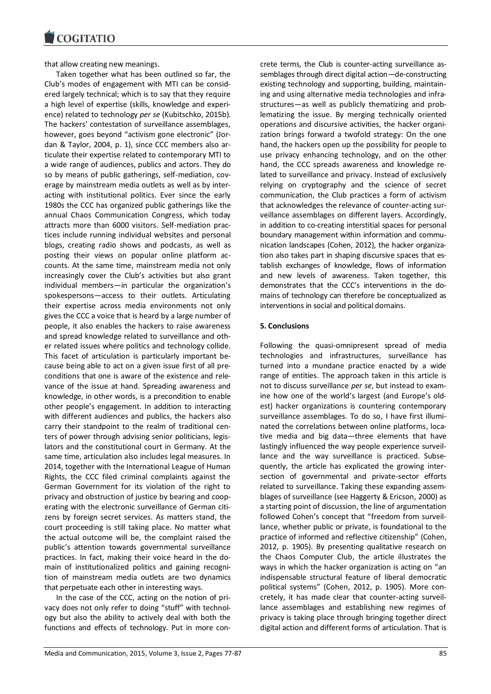that allow creating new meanings.

Taken together what has been outlined so far, the Club's modes of engagement with MTI can be considered largely technical; which is to say that they require a high level of expertise (skills, knowledge and experience) related to technology *per se* (Kubitschko, 2015b). The hackers' contestation of surveillance assemblages, however, goes beyond "activism gone electronic" (Jordan & Taylor, 2004, p. 1), since CCC members also articulate their expertise related to contemporary MTI to a wide range of audiences, publics and actors. They do so by means of public gatherings, self-mediation, coverage by mainstream media outlets as well as by interacting with institutional politics. Ever since the early 1980s the CCC has organized public gatherings like the annual Chaos Communication Congress, which today attracts more than 6000 visitors. Self-mediation practices include running individual websites and personal blogs, creating radio shows and podcasts, as well as posting their views on popular online platform accounts. At the same time, mainstream media not only increasingly cover the Club's activities but also grant individual members—in particular the organization's spokespersons—access to their outlets. Articulating their expertise across media environments not only gives the CCC a voice that is heard by a large number of people, it also enables the hackers to raise awareness and spread knowledge related to surveillance and other related issues where politics and technology collide. This facet of articulation is particularly important because being able to act on a given issue first of all preconditions that one is aware of the existence and relevance of the issue at hand. Spreading awareness and knowledge, in other words, is a precondition to enable other people's engagement. In addition to interacting with different audiences and publics, the hackers also carry their standpoint to the realm of traditional centers of power through advising senior politicians, legislators and the constitutional court in Germany. At the same time, articulation also includes legal measures. In 2014, together with the International League of Human Rights, the CCC filed criminal complaints against the German Government for its violation of the right to privacy and obstruction of justice by bearing and cooperating with the electronic surveillance of German citizens by foreign secret services. As matters stand, the court proceeding is still taking place. No matter what the actual outcome will be, the complaint raised the public's attention towards governmental surveillance practices. In fact, making their voice heard in the domain of institutionalized politics and gaining recognition of mainstream media outlets are two dynamics that perpetuate each other in interesting ways.

In the case of the CCC, acting on the notion of privacy does not only refer to doing "stuff" with technology but also the ability to actively deal with both the functions and effects of technology. Put in more con-

crete terms, the Club is counter-acting surveillance assemblages through direct digital action—de-constructing existing technology and supporting, building, maintaining and using alternative media technologies and infrastructures—as well as publicly thematizing and problematizing the issue. By merging technically oriented operations and discursive activities, the hacker organization brings forward a twofold strategy: On the one hand, the hackers open up the possibility for people to use privacy enhancing technology, and on the other hand, the CCC spreads awareness and knowledge related to surveillance and privacy. Instead of exclusively relying on cryptography and the science of secret communication, the Club practices a form of activism that acknowledges the relevance of counter-acting surveillance assemblages on different layers. Accordingly, in addition to co-creating interstitial spaces for personal boundary management within information and communication landscapes (Cohen, 2012), the hacker organization also takes part in shaping discursive spaces that establish exchanges of knowledge, flows of information and new levels of awareness. Taken together, this demonstrates that the CCC's interventions in the domains of technology can therefore be conceptualized as interventions in social and political domains.

# **5. Conclusions**

Following the quasi-omnipresent spread of media technologies and infrastructures, surveillance has turned into a mundane practice enacted by a wide range of entities. The approach taken in this article is not to discuss surveillance *per se*, but instead to examine how one of the world's largest (and Europe's oldest) hacker organizations is countering contemporary surveillance assemblages. To do so, I have first illuminated the correlations between online platforms, locative media and big data—three elements that have lastingly influenced the way people experience surveillance and the way surveillance is practiced. Subsequently, the article has explicated the growing intersection of governmental and private-sector efforts related to surveillance. Taking these expanding assemblages of surveillance (see Haggerty & Ericson, 2000) as a starting point of discussion, the line of argumentation followed Cohen's concept that "freedom from surveillance, whether public or private, is foundational to the practice of informed and reflective citizenship" (Cohen, 2012, p. 1905). By presenting qualitative research on the Chaos Computer Club, the article illustrates the ways in which the hacker organization is acting on "an indispensable structural feature of liberal democratic political systems" (Cohen, 2012, p. 1905). More concretely, it has made clear that counter-acting surveillance assemblages and establishing new regimes of privacy is taking place through bringing together direct digital action and different forms of articulation. That is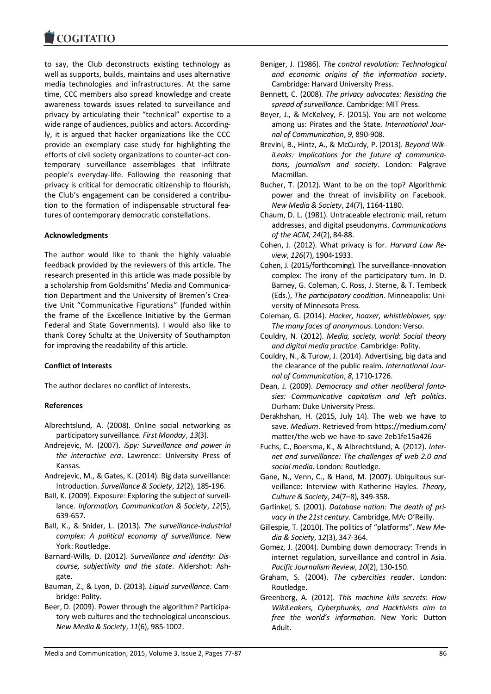to say, the Club deconstructs existing technology as well as supports, builds, maintains and uses alternative media technologies and infrastructures. At the same time, CCC members also spread knowledge and create awareness towards issues related to surveillance and privacy by articulating their "technical" expertise to a wide range of audiences, publics and actors. Accordingly, it is argued that hacker organizations like the CCC provide an exemplary case study for highlighting the efforts of civil society organizations to counter-act contemporary surveillance assemblages that infiltrate people's everyday-life. Following the reasoning that privacy is critical for democratic citizenship to flourish, the Club's engagement can be considered a contribution to the formation of indispensable structural features of contemporary democratic constellations.

# **Acknowledgments**

The author would like to thank the highly valuable feedback provided by the reviewers of this article. The research presented in this article was made possible by a scholarship from Goldsmiths' Media and Communication Department and the University of Bremen's Creative Unit "Communicative Figurations" (funded within the frame of the Excellence Initiative by the German Federal and State Governments). I would also like to thank Corey Schultz at the University of Southampton for improving the readability of this article.

# **Conflict of Interests**

The author declares no conflict of interests.

#### **References**

- Albrechtslund, A. (2008). Online social networking as participatory surveillance. *First Monday*, *13*(3).
- Andrejevic, M. (2007). *iSpy: Surveillance and power in the interactive era*. Lawrence: University Press of Kansas.
- Andrejevic, M., & Gates, K. (2014). Big data surveillance: Introduction. *Surveillance & Society*, *12*(2), 185-196.
- Ball, K. (2009). Exposure: Exploring the subject of surveillance. *Information, Communication & Society*, *12*(5), 639-657.
- Ball, K., & Snider, L. (2013). *The surveillance-industrial complex: A political economy of surveillance*. New York: Routledge.
- Barnard-Wills, D. (2012). *Surveillance and identity: Discourse, subjectivity and the state*. Aldershot: Ashgate.
- Bauman, Z., & Lyon, D. (2013). *Liquid surveillance*. Cambridge: Polity.
- Beer, D. (2009). Power through the algorithm? Participatory web cultures and the technological unconscious. *New Media & Society*, *11*(6), 985-1002.
- Beniger, J. (1986). *The control revolution: Technological and economic origins of the information society*. Cambridge: Harvard University Press.
- Bennett, C. (2008). *The privacy advocates: Resisting the spread of surveillance*. Cambridge: MIT Press.
- Beyer, J., & McKelvey, F. (2015). You are not welcome among us: Pirates and the State. *International Journal of Communication*, *9*, 890-908.
- Brevini, B., Hintz, A., & McCurdy, P. (2013). *Beyond WikiLeaks: Implications for the future of communications, journalism and society*. London: Palgrave Macmillan.
- Bucher, T. (2012). Want to be on the top? Algorithmic power and the threat of invisibility on Facebook. *New Media & Society*, *14*(7), 1164-1180.
- Chaum, D. L. (1981). Untraceable electronic mail, return addresses, and digital pseudonyms. *Communications of the ACM*, *24*(2), 84-88.
- Cohen, J. (2012). What privacy is for. *Harvard Law Review*, *126*(7), 1904-1933.
- Cohen, J. (2015/forthcoming). The surveillance-innovation complex: The irony of the participatory turn. In D. Barney, G. Coleman, C. Ross, J. Sterne, & T. Tembeck (Eds.), *The participatory condition*. Minneapolis: University of Minnesota Press.
- Coleman, G. (2014). *Hacker, hoaxer, whistleblower, spy: The many faces of anonymous*. London: Verso.
- Couldry, N. (2012). *Media, society, world: Social theory and digital media practice*. Cambridge: Polity.
- Couldry, N., & Turow, J. (2014). Advertising, big data and the clearance of the public realm. *International Journal of Communication*, *8*, 1710-1726.
- Dean, J. (2009). *Democracy and other neoliberal fantasies: Communicative capitalism and left politics*. Durham: Duke University Press.
- Derakhshan, H. (2015, July 14). The web we have to save. *Medium*. Retrieved from https://medium.com/ matter/the-web-we-have-to-save-2eb1fe15a426
- Fuchs, C., Boersma, K., & Albrechtslund, A. (2012). *Internet and surveillance: The challenges of web 2.0 and social media*. London: Routledge.
- Gane, N., Venn, C., & Hand, M. (2007). Ubiquitous surveillance: Interview with Katherine Hayles. *Theory, Culture & Society*, *24*(7–8), 349-358.
- Garfinkel, S. (2001). *Database nation: The death of privacy in the 21st century.* Cambridge, MA: O'Reilly.
- Gillespie, T. (2010). The politics of "platforms". *New Media & Society*, *12*(3), 347-364.
- Gomez, J. (2004). Dumbing down democracy: Trends in internet regulation, surveillance and control in Asia. *Pacific Journalism Review*, *10*(2), 130-150.
- Graham, S. (2004). *The cybercities reader*. London: Routledge.
- Greenberg, A. (2012). *This machine kills secrets: How WikiLeakers, Cyberphunks, and Hacktivists aim to free the world's information*. New York: Dutton Adult.